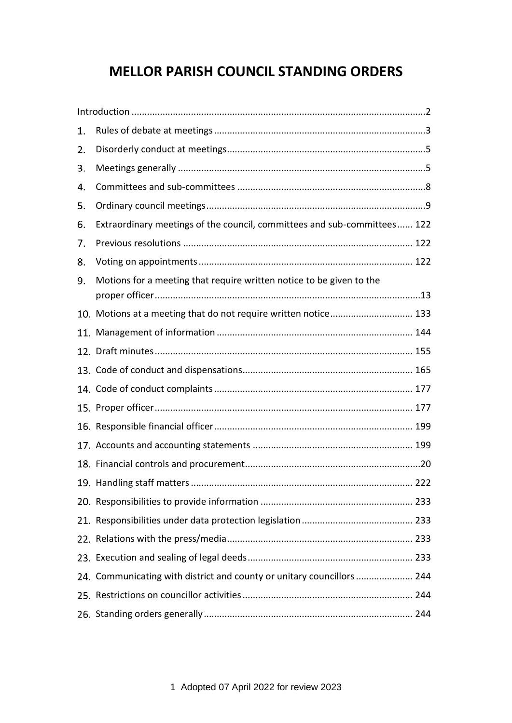# **MELLOR PARISH COUNCIL STANDING ORDERS**

| 1. |                                                                          |
|----|--------------------------------------------------------------------------|
| 2. |                                                                          |
| 3. |                                                                          |
| 4. |                                                                          |
| 5. |                                                                          |
| 6. | Extraordinary meetings of the council, committees and sub-committees 122 |
| 7. |                                                                          |
| 8. |                                                                          |
| 9. | Motions for a meeting that require written notice to be given to the     |
|    | 10. Motions at a meeting that do not require written notice 133          |
|    |                                                                          |
|    |                                                                          |
|    |                                                                          |
|    |                                                                          |
|    |                                                                          |
|    |                                                                          |
|    |                                                                          |
|    |                                                                          |
|    |                                                                          |
|    |                                                                          |
|    |                                                                          |
|    |                                                                          |
|    |                                                                          |
|    | 24. Communicating with district and county or unitary councillors  244   |
|    |                                                                          |
|    |                                                                          |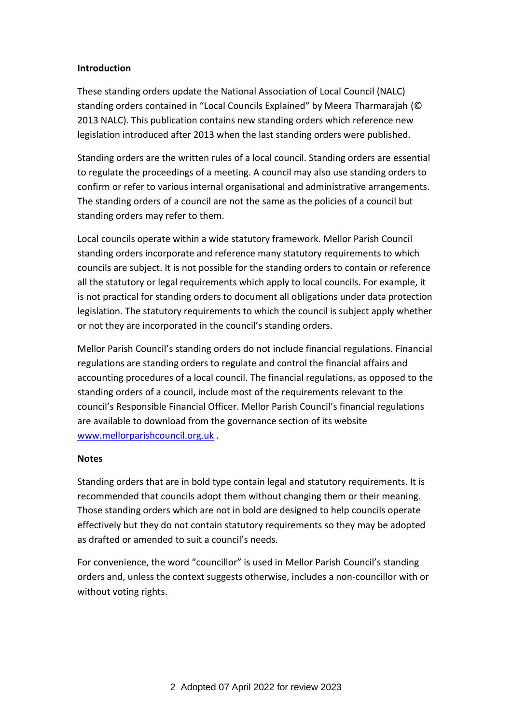### <span id="page-1-0"></span>**Introduction**

These standing orders update the National Association of Local Council (NALC) standing orders contained in "Local Councils Explained" by Meera Tharmarajah (© 2013 NALC). This publication contains new standing orders which reference new legislation introduced after 2013 when the last standing orders were published.

Standing orders are the written rules of a local council. Standing orders are essential to regulate the proceedings of a meeting. A council may also use standing orders to confirm or refer to various internal organisational and administrative arrangements. The standing orders of a council are not the same as the policies of a council but standing orders may refer to them.

Local councils operate within a wide statutory framework. Mellor Parish Council standing orders incorporate and reference many statutory requirements to which councils are subject. It is not possible for the standing orders to contain or reference all the statutory or legal requirements which apply to local councils. For example, it is not practical for standing orders to document all obligations under data protection legislation. The statutory requirements to which the council is subject apply whether or not they are incorporated in the council's standing orders.

Mellor Parish Council's standing orders do not include financial regulations. Financial regulations are standing orders to regulate and control the financial affairs and accounting procedures of a local council. The financial regulations, as opposed to the standing orders of a council, include most of the requirements relevant to the council's Responsible Financial Officer. Mellor Parish Council's financial regulations are available to download from the governance section of its website [www.mellorparishcouncil.org.uk](http://www.mellorparishcouncil.org.uk/) .

### **Notes**

Standing orders that are in bold type contain legal and statutory requirements. It is recommended that councils adopt them without changing them or their meaning. Those standing orders which are not in bold are designed to help councils operate effectively but they do not contain statutory requirements so they may be adopted as drafted or amended to suit a council's needs.

For convenience, the word "councillor" is used in Mellor Parish Council's standing orders and, unless the context suggests otherwise, includes a non-councillor with or without voting rights.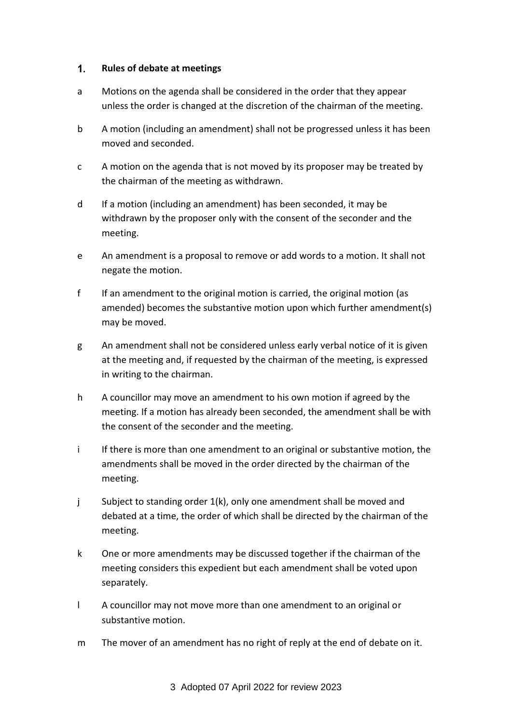#### <span id="page-2-0"></span> $1.$ **Rules of debate at meetings**

- a Motions on the agenda shall be considered in the order that they appear unless the order is changed at the discretion of the chairman of the meeting.
- b A motion (including an amendment) shall not be progressed unless it has been moved and seconded.
- c A motion on the agenda that is not moved by its proposer may be treated by the chairman of the meeting as withdrawn.
- d If a motion (including an amendment) has been seconded, it may be withdrawn by the proposer only with the consent of the seconder and the meeting.
- e An amendment is a proposal to remove or add words to a motion. It shall not negate the motion.
- f If an amendment to the original motion is carried, the original motion (as amended) becomes the substantive motion upon which further amendment(s) may be moved.
- g An amendment shall not be considered unless early verbal notice of it is given at the meeting and, if requested by the chairman of the meeting, is expressed in writing to the chairman.
- h A councillor may move an amendment to his own motion if agreed by the meeting. If a motion has already been seconded, the amendment shall be with the consent of the seconder and the meeting.
- i If there is more than one amendment to an original or substantive motion, the amendments shall be moved in the order directed by the chairman of the meeting.
- j Subject to standing order 1(k), only one amendment shall be moved and debated at a time, the order of which shall be directed by the chairman of the meeting.
- k One or more amendments may be discussed together if the chairman of the meeting considers this expedient but each amendment shall be voted upon separately.
- l A councillor may not move more than one amendment to an original or substantive motion.
- m The mover of an amendment has no right of reply at the end of debate on it.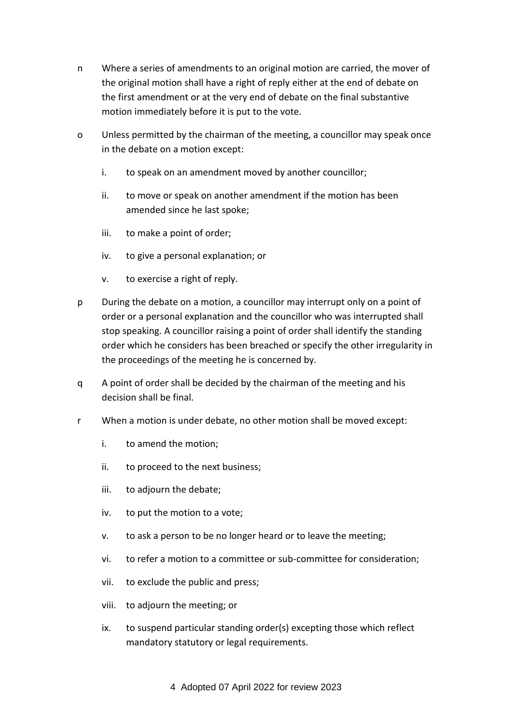- n Where a series of amendments to an original motion are carried, the mover of the original motion shall have a right of reply either at the end of debate on the first amendment or at the very end of debate on the final substantive motion immediately before it is put to the vote.
- o Unless permitted by the chairman of the meeting, a councillor may speak once in the debate on a motion except:
	- i. to speak on an amendment moved by another councillor;
	- ii. to move or speak on another amendment if the motion has been amended since he last spoke;
	- iii. to make a point of order;
	- iv. to give a personal explanation; or
	- v. to exercise a right of reply.
- p During the debate on a motion, a councillor may interrupt only on a point of order or a personal explanation and the councillor who was interrupted shall stop speaking. A councillor raising a point of order shall identify the standing order which he considers has been breached or specify the other irregularity in the proceedings of the meeting he is concerned by.
- q A point of order shall be decided by the chairman of the meeting and his decision shall be final.
- r When a motion is under debate, no other motion shall be moved except:
	- i. to amend the motion;
	- ii. to proceed to the next business;
	- iii. to adjourn the debate;
	- iv. to put the motion to a vote;
	- v. to ask a person to be no longer heard or to leave the meeting;
	- vi. to refer a motion to a committee or sub-committee for consideration;
	- vii. to exclude the public and press;
	- viii. to adjourn the meeting; or
	- ix. to suspend particular standing order(s) excepting those which reflect mandatory statutory or legal requirements.

4 Adopted 07 April 2022 for review 2023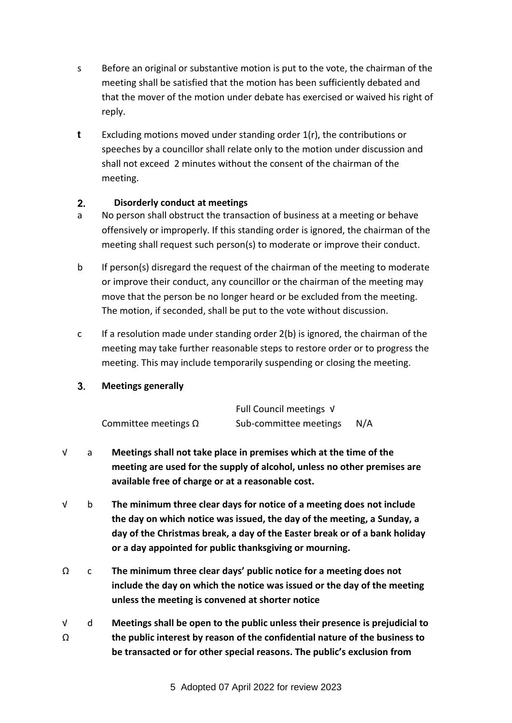- s Before an original or substantive motion is put to the vote, the chairman of the meeting shall be satisfied that the motion has been sufficiently debated and that the mover of the motion under debate has exercised or waived his right of reply.
- **t** Excluding motions moved under standing order 1(r), the contributions or speeches by a councillor shall relate only to the motion under discussion and shall not exceed 2 minutes without the consent of the chairman of the meeting.

#### <span id="page-4-0"></span> $2<sub>-</sub>$ **Disorderly conduct at meetings**

- a No person shall obstruct the transaction of business at a meeting or behave offensively or improperly. If this standing order is ignored, the chairman of the meeting shall request such person(s) to moderate or improve their conduct.
- b If person(s) disregard the request of the chairman of the meeting to moderate or improve their conduct, any councillor or the chairman of the meeting may move that the person be no longer heard or be excluded from the meeting. The motion, if seconded, shall be put to the vote without discussion.
- c If a resolution made under standing order 2(b) is ignored, the chairman of the meeting may take further reasonable steps to restore order or to progress the meeting. This may include temporarily suspending or closing the meeting.

#### <span id="page-4-1"></span> $3<sub>1</sub>$ **Meetings generally**

|                             | Full Council meetings √ |     |
|-----------------------------|-------------------------|-----|
| Committee meetings $\Omega$ | Sub-committee meetings  | N/A |

- √ a **Meetings shall not take place in premises which at the time of the meeting are used for the supply of alcohol, unless no other premises are available free of charge or at a reasonable cost.**
- √ b **The minimum three clear days for notice of a meeting does not include the day on which notice was issued, the day of the meeting, a Sunday, a day of the Christmas break, a day of the Easter break or of a bank holiday or a day appointed for public thanksgiving or mourning.**
- Ω c **The minimum three clear days' public notice for a meeting does not include the day on which the notice was issued or the day of the meeting unless the meeting is convened at shorter notice**
- √  $\Omega$ d **Meetings shall be open to the public unless their presence is prejudicial to the public interest by reason of the confidential nature of the business to be transacted or for other special reasons. The public's exclusion from**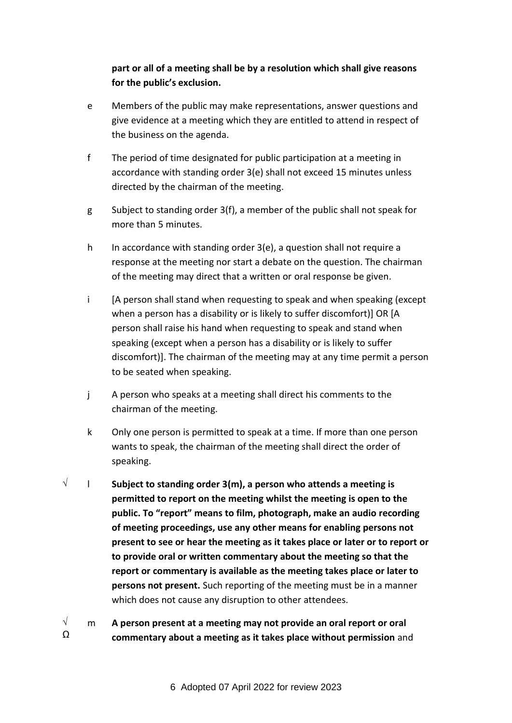## **part or all of a meeting shall be by a resolution which shall give reasons for the public's exclusion.**

- e Members of the public may make representations, answer questions and give evidence at a meeting which they are entitled to attend in respect of the business on the agenda.
- f The period of time designated for public participation at a meeting in accordance with standing order 3(e) shall not exceed 15 minutes unless directed by the chairman of the meeting.
- g Subject to standing order 3(f), a member of the public shall not speak for more than 5 minutes.
- h In accordance with standing order 3(e), a question shall not require a response at the meeting nor start a debate on the question. The chairman of the meeting may direct that a written or oral response be given.
- i [A person shall stand when requesting to speak and when speaking (except when a person has a disability or is likely to suffer discomfort)] OR [A person shall raise his hand when requesting to speak and stand when speaking (except when a person has a disability or is likely to suffer discomfort)]. The chairman of the meeting may at any time permit a person to be seated when speaking.
- j A person who speaks at a meeting shall direct his comments to the chairman of the meeting.
- k Only one person is permitted to speak at a time. If more than one person wants to speak, the chairman of the meeting shall direct the order of speaking.
- √ l **Subject to standing order 3(m), a person who attends a meeting is permitted to report on the meeting whilst the meeting is open to the public. To "report" means to film, photograph, make an audio recording of meeting proceedings, use any other means for enabling persons not present to see or hear the meeting as it takes place or later or to report or to provide oral or written commentary about the meeting so that the report or commentary is available as the meeting takes place or later to persons not present.** Such reporting of the meeting must be in a manner which does not cause any disruption to other attendees.
- √  $\Omega$ m **A person present at a meeting may not provide an oral report or oral commentary about a meeting as it takes place without permission** and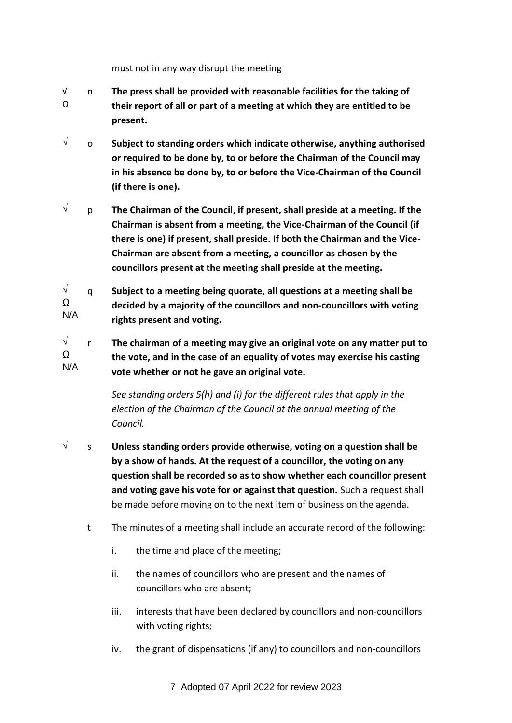must not in any way disrupt the meeting

- √ Ω n **The press shall be provided with reasonable facilities for the taking of their report of all or part of a meeting at which they are entitled to be present.**
- √ o **Subject to standing orders which indicate otherwise, anything authorised or required to be done by, to or before the Chairman of the Council may in his absence be done by, to or before the Vice-Chairman of the Council (if there is one).**
- √ p **The Chairman of the Council, if present, shall preside at a meeting. If the Chairman is absent from a meeting, the Vice-Chairman of the Council (if there is one) if present, shall preside. If both the Chairman and the Vice-Chairman are absent from a meeting, a councillor as chosen by the councillors present at the meeting shall preside at the meeting.**

√  $\Omega$ N/A q **Subject to a meeting being quorate, all questions at a meeting shall be decided by a majority of the councillors and non-councillors with voting rights present and voting.**

√ Ω N/A r **The chairman of a meeting may give an original vote on any matter put to the vote, and in the case of an equality of votes may exercise his casting vote whether or not he gave an original vote.**

> *See standing orders 5(h) and (i) for the different rules that apply in the election of the Chairman of the Council at the annual meeting of the Council.*

- √ s **Unless standing orders provide otherwise, voting on a question shall be by a show of hands. At the request of a councillor, the voting on any question shall be recorded so as to show whether each councillor present and voting gave his vote for or against that question.** Such a request shall be made before moving on to the next item of business on the agenda.
	- t The minutes of a meeting shall include an accurate record of the following:
		- i. the time and place of the meeting;
		- ii. the names of councillors who are present and the names of councillors who are absent;
		- iii. interests that have been declared by councillors and non-councillors with voting rights;
		- iv. the grant of dispensations (if any) to councillors and non-councillors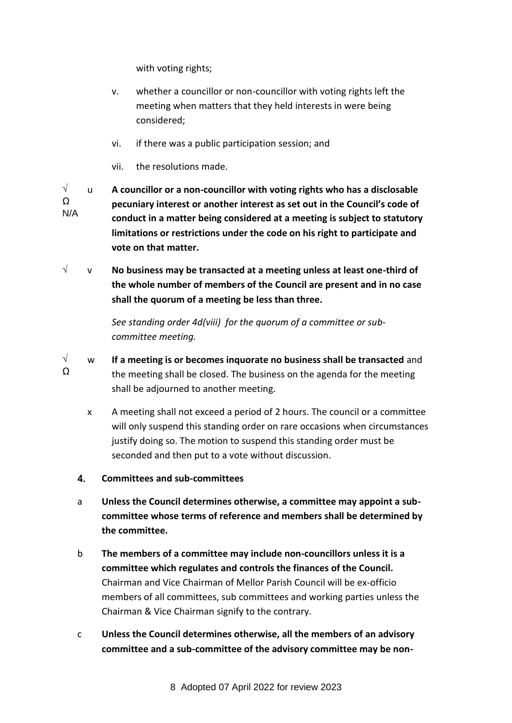with voting rights;

- v. whether a councillor or non-councillor with voting rights left the meeting when matters that they held interests in were being considered;
- vi. if there was a public participation session; and
- vii. the resolutions made.

√  $\Omega$ N/A u **A councillor or a non-councillor with voting rights who has a disclosable pecuniary interest or another interest as set out in the Council's code of conduct in a matter being considered at a meeting is subject to statutory limitations or restrictions under the code on his right to participate and vote on that matter.**

√ v **No business may be transacted at a meeting unless at least one-third of the whole number of members of the Council are present and in no case shall the quorum of a meeting be less than three.**

> *See standing order 4d(viii) for the quorum of a committee or subcommittee meeting.*

- <span id="page-7-0"></span>√  $\Omega$ w **If a meeting is or becomes inquorate no business shall be transacted** and the meeting shall be closed. The business on the agenda for the meeting shall be adjourned to another meeting.
	- x A meeting shall not exceed a period of 2 hours. The council or a committee will only suspend this standing order on rare occasions when circumstances justify doing so. The motion to suspend this standing order must be seconded and then put to a vote without discussion.
	- $4.$ **Committees and sub-committees**
	- a **Unless the Council determines otherwise, a committee may appoint a subcommittee whose terms of reference and members shall be determined by the committee.**
	- b **The members of a committee may include non-councillors unless it is a committee which regulates and controls the finances of the Council.** Chairman and Vice Chairman of Mellor Parish Council will be ex-officio members of all committees, sub committees and working parties unless the Chairman & Vice Chairman signify to the contrary.
	- c **Unless the Council determines otherwise, all the members of an advisory committee and a sub-committee of the advisory committee may be non-**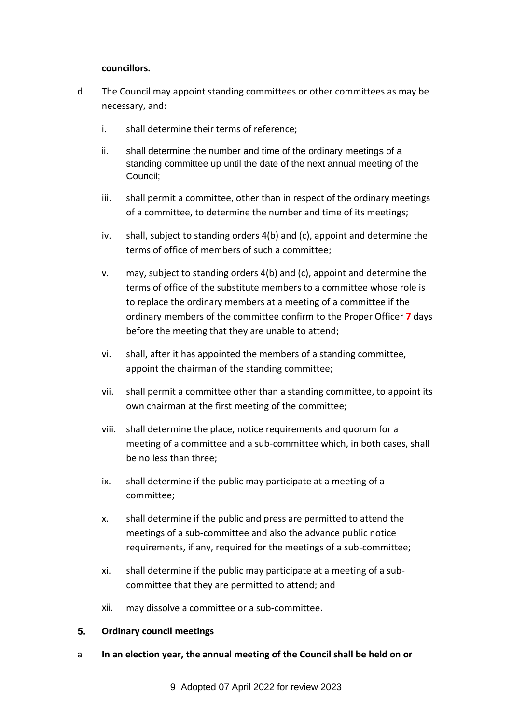#### **councillors.**

- d The Council may appoint standing committees or other committees as may be necessary, and:
	- i. shall determine their terms of reference;
	- ii. shall determine the number and time of the ordinary meetings of a standing committee up until the date of the next annual meeting of the Council;
	- iii. shall permit a committee, other than in respect of the ordinary meetings of a committee, to determine the number and time of its meetings;
	- iv. shall, subject to standing orders 4(b) and (c), appoint and determine the terms of office of members of such a committee;
	- v. may, subject to standing orders 4(b) and (c), appoint and determine the terms of office of the substitute members to a committee whose role is to replace the ordinary members at a meeting of a committee if the ordinary members of the committee confirm to the Proper Officer **7** days before the meeting that they are unable to attend;
	- vi. shall, after it has appointed the members of a standing committee, appoint the chairman of the standing committee;
	- vii. shall permit a committee other than a standing committee, to appoint its own chairman at the first meeting of the committee;
	- viii. shall determine the place, notice requirements and quorum for a meeting of a committee and a sub-committee which, in both cases, shall be no less than three;
	- ix. shall determine if the public may participate at a meeting of a committee;
	- x. shall determine if the public and press are permitted to attend the meetings of a sub-committee and also the advance public notice requirements, if any, required for the meetings of a sub-committee;
	- xi. shall determine if the public may participate at a meeting of a subcommittee that they are permitted to attend; and
	- xii. may dissolve a committee or a sub-committee.

#### <span id="page-8-0"></span> $5.$ **Ordinary council meetings**

a **In an election year, the annual meeting of the Council shall be held on or**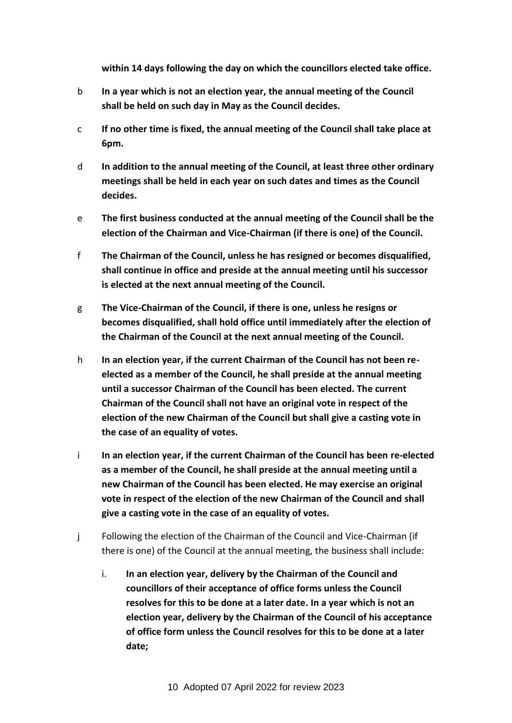**within 14 days following the day on which the councillors elected take office.**

- b **In a year which is not an election year, the annual meeting of the Council shall be held on such day in May as the Council decides.**
- c **If no other time is fixed, the annual meeting of the Council shall take place at 6pm.**
- d **In addition to the annual meeting of the Council, at least three other ordinary meetings shall be held in each year on such dates and times as the Council decides.**
- e **The first business conducted at the annual meeting of the Council shall be the election of the Chairman and Vice-Chairman (if there is one) of the Council.**
- f **The Chairman of the Council, unless he has resigned or becomes disqualified, shall continue in office and preside at the annual meeting until his successor is elected at the next annual meeting of the Council.**
- g **The Vice-Chairman of the Council, if there is one, unless he resigns or becomes disqualified, shall hold office until immediately after the election of the Chairman of the Council at the next annual meeting of the Council.**
- h **In an election year, if the current Chairman of the Council has not been reelected as a member of the Council, he shall preside at the annual meeting until a successor Chairman of the Council has been elected. The current Chairman of the Council shall not have an original vote in respect of the election of the new Chairman of the Council but shall give a casting vote in the case of an equality of votes.**
- i **In an election year, if the current Chairman of the Council has been re-elected as a member of the Council, he shall preside at the annual meeting until a new Chairman of the Council has been elected. He may exercise an original vote in respect of the election of the new Chairman of the Council and shall give a casting vote in the case of an equality of votes.**
- j Following the election of the Chairman of the Council and Vice-Chairman (if there is one) of the Council at the annual meeting, the business shall include:
	- i. **In an election year, delivery by the Chairman of the Council and councillors of their acceptance of office forms unless the Council resolves for this to be done at a later date. In a year which is not an election year, delivery by the Chairman of the Council of his acceptance of office form unless the Council resolves for this to be done at a later date;**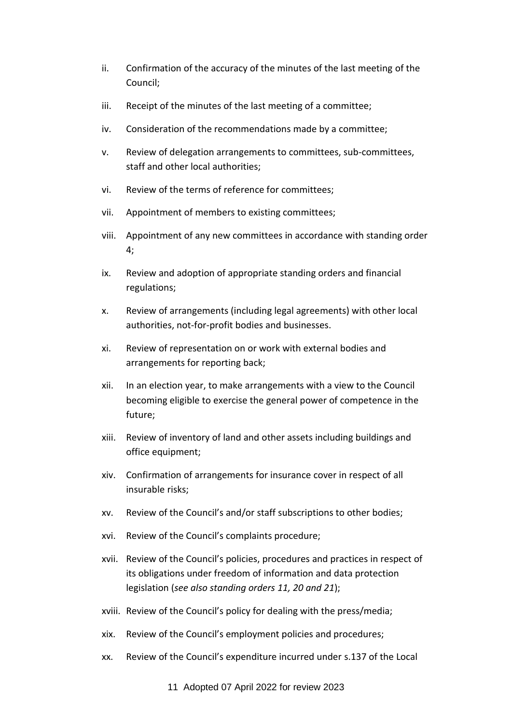- ii. Confirmation of the accuracy of the minutes of the last meeting of the Council;
- iii. Receipt of the minutes of the last meeting of a committee;
- iv. Consideration of the recommendations made by a committee;
- v. Review of delegation arrangements to committees, sub-committees, staff and other local authorities;
- vi. Review of the terms of reference for committees;
- vii. Appointment of members to existing committees;
- viii. Appointment of any new committees in accordance with standing order 4;
- ix. Review and adoption of appropriate standing orders and financial regulations;
- x. Review of arrangements (including legal agreements) with other local authorities, not-for-profit bodies and businesses.
- xi. Review of representation on or work with external bodies and arrangements for reporting back;
- xii. In an election year, to make arrangements with a view to the Council becoming eligible to exercise the general power of competence in the future;
- xiii. Review of inventory of land and other assets including buildings and office equipment;
- xiv. Confirmation of arrangements for insurance cover in respect of all insurable risks;
- xv. Review of the Council's and/or staff subscriptions to other bodies;
- xvi. Review of the Council's complaints procedure;
- xvii. Review of the Council's policies, procedures and practices in respect of its obligations under freedom of information and data protection legislation (*see also standing orders 11, 20 and 21*);
- xviii. Review of the Council's policy for dealing with the press/media;
- xix. Review of the Council's employment policies and procedures;
- xx. Review of the Council's expenditure incurred under s.137 of the Local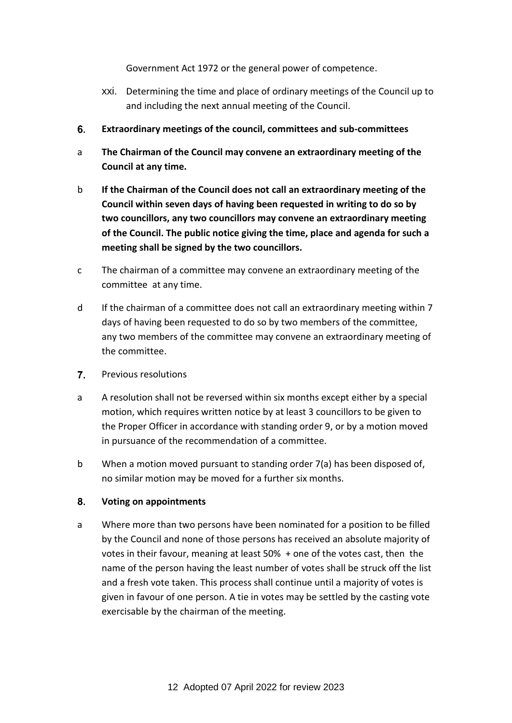Government Act 1972 or the general power of competence.

- xxi. Determining the time and place of ordinary meetings of the Council up to and including the next annual meeting of the Council.
- <span id="page-11-0"></span>6. **Extraordinary meetings of the council, committees and sub-committees**
- a **The Chairman of the Council may convene an extraordinary meeting of the Council at any time.**
- b **If the Chairman of the Council does not call an extraordinary meeting of the Council within seven days of having been requested in writing to do so by two councillors, any two councillors may convene an extraordinary meeting of the Council. The public notice giving the time, place and agenda for such a meeting shall be signed by the two councillors.**
- c The chairman of a committee may convene an extraordinary meeting of the committee at any time.
- d If the chairman of a committee does not call an extraordinary meeting within 7 days of having been requested to do so by two members of the committee, any two members of the committee may convene an extraordinary meeting of the committee.
- <span id="page-11-1"></span> $\overline{7}$ . Previous resolutions
- a A resolution shall not be reversed within six months except either by a special motion, which requires written notice by at least 3 councillors to be given to the Proper Officer in accordance with standing order 9, or by a motion moved in pursuance of the recommendation of a committee.
- b When a motion moved pursuant to standing order 7(a) has been disposed of, no similar motion may be moved for a further six months.

#### <span id="page-11-2"></span> $8.$ **Voting on appointments**

a Where more than two persons have been nominated for a position to be filled by the Council and none of those persons has received an absolute majority of votes in their favour, meaning at least 50% + one of the votes cast, then the name of the person having the least number of votes shall be struck off the list and a fresh vote taken. This process shall continue until a majority of votes is given in favour of one person. A tie in votes may be settled by the casting vote exercisable by the chairman of the meeting.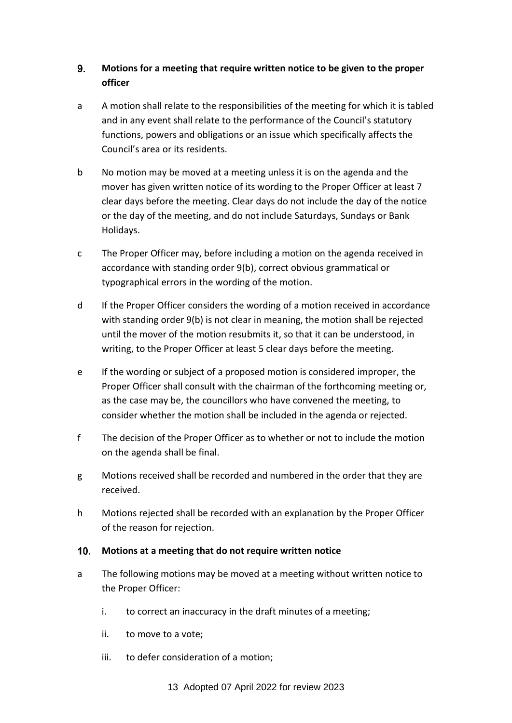#### <span id="page-12-0"></span> $9<sub>-</sub>$ **Motions for a meeting that require written notice to be given to the proper officer**

- a A motion shall relate to the responsibilities of the meeting for which it is tabled and in any event shall relate to the performance of the Council's statutory functions, powers and obligations or an issue which specifically affects the Council's area or its residents.
- b No motion may be moved at a meeting unless it is on the agenda and the mover has given written notice of its wording to the Proper Officer at least 7 clear days before the meeting. Clear days do not include the day of the notice or the day of the meeting, and do not include Saturdays, Sundays or Bank Holidays.
- c The Proper Officer may, before including a motion on the agenda received in accordance with standing order 9(b), correct obvious grammatical or typographical errors in the wording of the motion.
- d If the Proper Officer considers the wording of a motion received in accordance with standing order 9(b) is not clear in meaning, the motion shall be rejected until the mover of the motion resubmits it, so that it can be understood, in writing, to the Proper Officer at least 5 clear days before the meeting.
- e If the wording or subject of a proposed motion is considered improper, the Proper Officer shall consult with the chairman of the forthcoming meeting or, as the case may be, the councillors who have convened the meeting, to consider whether the motion shall be included in the agenda or rejected.
- f The decision of the Proper Officer as to whether or not to include the motion on the agenda shall be final.
- g Motions received shall be recorded and numbered in the order that they are received.
- h Motions rejected shall be recorded with an explanation by the Proper Officer of the reason for rejection.

### <span id="page-12-1"></span>**Motions at a meeting that do not require written notice**

- a The following motions may be moved at a meeting without written notice to the Proper Officer:
	- i. to correct an inaccuracy in the draft minutes of a meeting;
	- ii. to move to a vote;
	- iii. to defer consideration of a motion;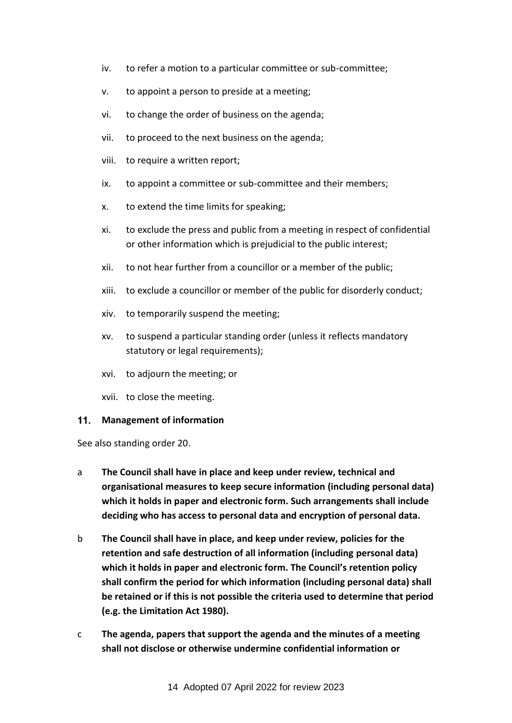- iv. to refer a motion to a particular committee or sub-committee;
- v. to appoint a person to preside at a meeting;
- vi. to change the order of business on the agenda;
- vii. to proceed to the next business on the agenda;
- viii. to require a written report;
- ix. to appoint a committee or sub-committee and their members;
- x. to extend the time limits for speaking;
- xi. to exclude the press and public from a meeting in respect of confidential or other information which is prejudicial to the public interest;
- xii. to not hear further from a councillor or a member of the public;
- xiii. to exclude a councillor or member of the public for disorderly conduct;
- xiv. to temporarily suspend the meeting;
- xv. to suspend a particular standing order (unless it reflects mandatory statutory or legal requirements);
- xvi. to adjourn the meeting; or
- xvii. to close the meeting.

#### <span id="page-13-0"></span>**Management of information**

See also standing order 20.

- a **The Council shall have in place and keep under review, technical and organisational measures to keep secure information (including personal data) which it holds in paper and electronic form. Such arrangements shall include deciding who has access to personal data and encryption of personal data.**
- b **The Council shall have in place, and keep under review, policies for the retention and safe destruction of all information (including personal data) which it holds in paper and electronic form. The Council's retention policy shall confirm the period for which information (including personal data) shall be retained or if this is not possible the criteria used to determine that period (e.g. the Limitation Act 1980).**
- c **The agenda, papers that support the agenda and the minutes of a meeting shall not disclose or otherwise undermine confidential information or**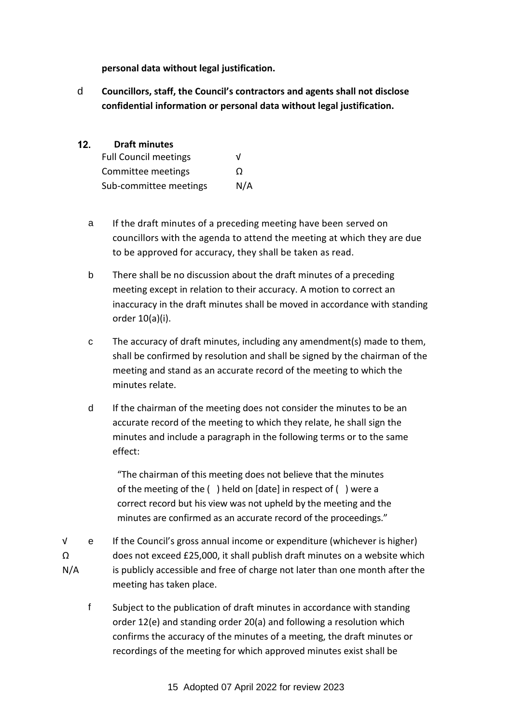**personal data without legal justification.** 

d **Councillors, staff, the Council's contractors and agents shall not disclose confidential information or personal data without legal justification.**

#### <span id="page-14-0"></span> $12.$ **Draft minutes**

| <b>Full Council meetings</b> | V   |
|------------------------------|-----|
| Committee meetings           | O   |
| Sub-committee meetings       | N/A |

- a If the draft minutes of a preceding meeting have been served on councillors with the agenda to attend the meeting at which they are due to be approved for accuracy, they shall be taken as read.
- b There shall be no discussion about the draft minutes of a preceding meeting except in relation to their accuracy. A motion to correct an inaccuracy in the draft minutes shall be moved in accordance with standing order 10(a)(i).
- c The accuracy of draft minutes, including any amendment(s) made to them, shall be confirmed by resolution and shall be signed by the chairman of the meeting and stand as an accurate record of the meeting to which the minutes relate.
- d If the chairman of the meeting does not consider the minutes to be an accurate record of the meeting to which they relate, he shall sign the minutes and include a paragraph in the following terms or to the same effect:

"The chairman of this meeting does not believe that the minutes of the meeting of the ( ) held on [date] in respect of ( ) were a correct record but his view was not upheld by the meeting and the minutes are confirmed as an accurate record of the proceedings."

- √ Ω N/A e If the Council's gross annual income or expenditure (whichever is higher) does not exceed £25,000, it shall publish draft minutes on a website which is publicly accessible and free of charge not later than one month after the meeting has taken place.
	- f Subject to the publication of draft minutes in accordance with standing order 12(e) and standing order 20(a) and following a resolution which confirms the accuracy of the minutes of a meeting, the draft minutes or recordings of the meeting for which approved minutes exist shall be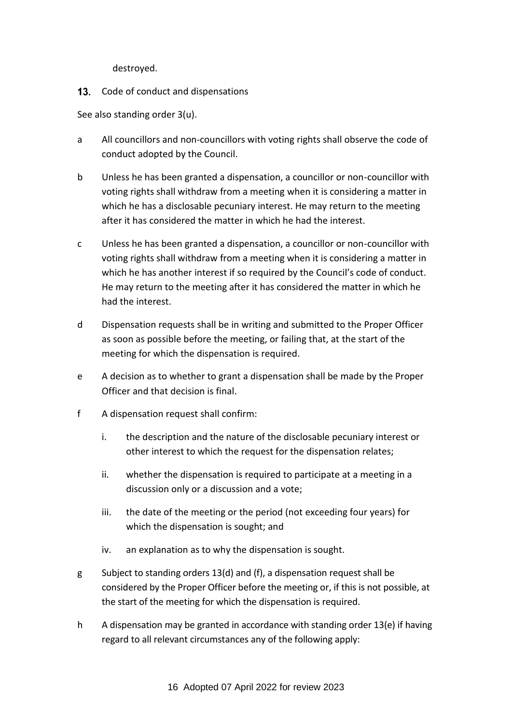destroyed.

<span id="page-15-0"></span>13. Code of conduct and dispensations

See also standing order 3(u).

- a All councillors and non-councillors with voting rights shall observe the code of conduct adopted by the Council.
- b Unless he has been granted a dispensation, a councillor or non-councillor with voting rights shall withdraw from a meeting when it is considering a matter in which he has a disclosable pecuniary interest. He may return to the meeting after it has considered the matter in which he had the interest.
- c Unless he has been granted a dispensation, a councillor or non-councillor with voting rights shall withdraw from a meeting when it is considering a matter in which he has another interest if so required by the Council's code of conduct. He may return to the meeting after it has considered the matter in which he had the interest.
- d Dispensation requests shall be in writing and submitted to the Proper Officer as soon as possible before the meeting, or failing that, at the start of the meeting for which the dispensation is required.
- e A decision as to whether to grant a dispensation shall be made by the Proper Officer and that decision is final.
- f A dispensation request shall confirm:
	- i. the description and the nature of the disclosable pecuniary interest or other interest to which the request for the dispensation relates;
	- ii. whether the dispensation is required to participate at a meeting in a discussion only or a discussion and a vote;
	- iii. the date of the meeting or the period (not exceeding four years) for which the dispensation is sought; and
	- iv. an explanation as to why the dispensation is sought.
- g Subject to standing orders 13(d) and (f), a dispensation request shall be considered by the Proper Officer before the meeting or, if this is not possible, at the start of the meeting for which the dispensation is required.
- h A dispensation may be granted in accordance with standing order 13(e) if having regard to all relevant circumstances any of the following apply: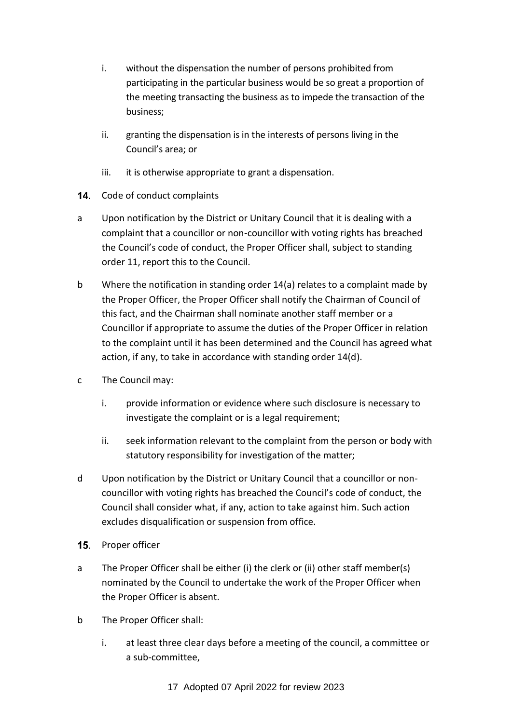- i. without the dispensation the number of persons prohibited from participating in the particular business would be so great a proportion of the meeting transacting the business as to impede the transaction of the business;
- ii. granting the dispensation is in the interests of persons living in the Council's area; or
- iii. it is otherwise appropriate to grant a dispensation.
- <span id="page-16-0"></span>14. Code of conduct complaints
- a Upon notification by the District or Unitary Council that it is dealing with a complaint that a councillor or non-councillor with voting rights has breached the Council's code of conduct, the Proper Officer shall, subject to standing order 11, report this to the Council.
- b Where the notification in standing order 14(a) relates to a complaint made by the Proper Officer, the Proper Officer shall notify the Chairman of Council of this fact, and the Chairman shall nominate another staff member or a Councillor if appropriate to assume the duties of the Proper Officer in relation to the complaint until it has been determined and the Council has agreed what action, if any, to take in accordance with standing order 14(d).
- c The Council may:
	- i. provide information or evidence where such disclosure is necessary to investigate the complaint or is a legal requirement;
	- ii. seek information relevant to the complaint from the person or body with statutory responsibility for investigation of the matter;
- d Upon notification by the District or Unitary Council that a councillor or noncouncillor with voting rights has breached the Council's code of conduct, the Council shall consider what, if any, action to take against him. Such action excludes disqualification or suspension from office.
- <span id="page-16-1"></span>15. Proper officer
- a The Proper Officer shall be either (i) the clerk or (ii) other staff member(s) nominated by the Council to undertake the work of the Proper Officer when the Proper Officer is absent.
- b The Proper Officer shall:
	- i. at least three clear days before a meeting of the council, a committee or a sub-committee,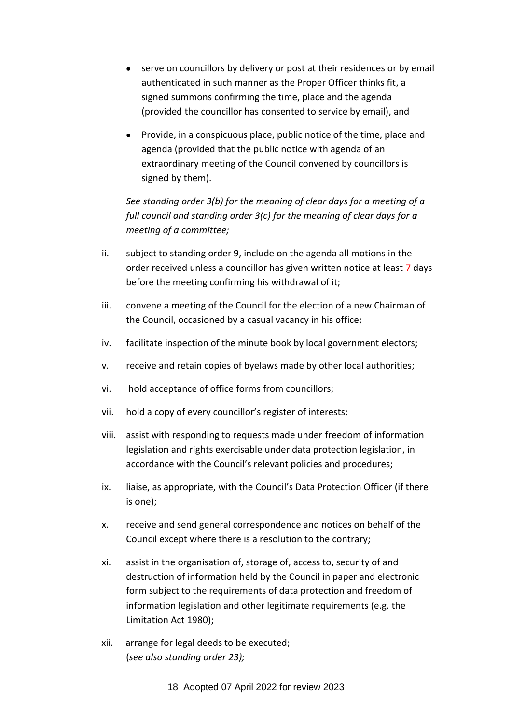- serve on councillors by delivery or post at their residences or by email authenticated in such manner as the Proper Officer thinks fit, a signed summons confirming the time, place and the agenda (provided the councillor has consented to service by email), and
- Provide, in a conspicuous place, public notice of the time, place and agenda (provided that the public notice with agenda of an extraordinary meeting of the Council convened by councillors is signed by them).

*See standing order 3(b) for the meaning of clear days for a meeting of a full council and standing order 3(c) for the meaning of clear days for a meeting of a committee;*

- ii. subject to standing order 9, include on the agenda all motions in the order received unless a councillor has given written notice at least 7 days before the meeting confirming his withdrawal of it;
- iii. convene a meeting of the Council for the election of a new Chairman of the Council, occasioned by a casual vacancy in his office;
- iv. facilitate inspection of the minute book by local government electors;
- v. receive and retain copies of byelaws made by other local authorities;
- vi. hold acceptance of office forms from councillors;
- vii. hold a copy of every councillor's register of interests;
- viii. assist with responding to requests made under freedom of information legislation and rights exercisable under data protection legislation, in accordance with the Council's relevant policies and procedures;
- ix. liaise, as appropriate, with the Council's Data Protection Officer (if there is one);
- x. receive and send general correspondence and notices on behalf of the Council except where there is a resolution to the contrary;
- xi. assist in the organisation of, storage of, access to, security of and destruction of information held by the Council in paper and electronic form subject to the requirements of data protection and freedom of information legislation and other legitimate requirements (e.g. the Limitation Act 1980);
- xii. arrange for legal deeds to be executed; (*see also standing order 23);*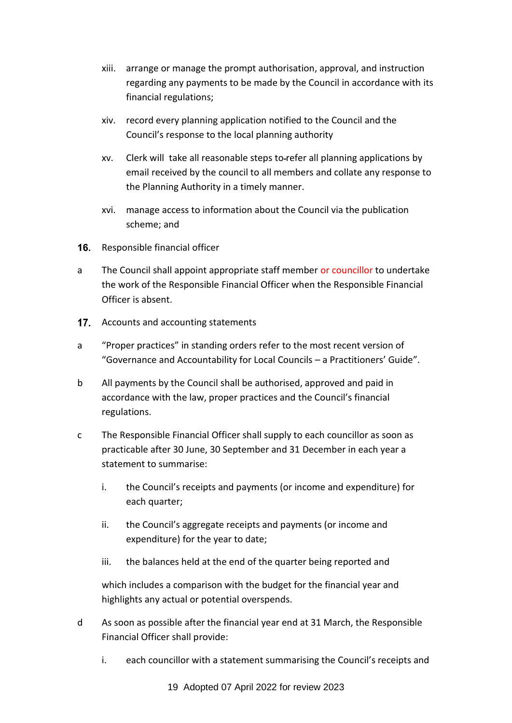- xiii. arrange or manage the prompt authorisation, approval, and instruction regarding any payments to be made by the Council in accordance with its financial regulations;
- xiv. record every planning application notified to the Council and the Council's response to the local planning authority
- xv. Clerk will take all reasonable steps to refer all planning applications by email received by the council to all members and collate any response to the Planning Authority in a timely manner.
- xvi. manage access to information about the Council via the publication scheme; and
- <span id="page-18-0"></span>16. Responsible financial officer
- a The Council shall appoint appropriate staff member or councillor to undertake the work of the Responsible Financial Officer when the Responsible Financial Officer is absent.
- <span id="page-18-1"></span>17. Accounts and accounting statements
- a "Proper practices" in standing orders refer to the most recent version of "Governance and Accountability for Local Councils – a Practitioners' Guide".
- b All payments by the Council shall be authorised, approved and paid in accordance with the law, proper practices and the Council's financial regulations.
- c The Responsible Financial Officer shall supply to each councillor as soon as practicable after 30 June, 30 September and 31 December in each year a statement to summarise:
	- i. the Council's receipts and payments (or income and expenditure) for each quarter;
	- ii. the Council's aggregate receipts and payments (or income and expenditure) for the year to date;
	- iii. the balances held at the end of the quarter being reported and

which includes a comparison with the budget for the financial year and highlights any actual or potential overspends.

- d As soon as possible after the financial year end at 31 March, the Responsible Financial Officer shall provide:
	- i. each councillor with a statement summarising the Council's receipts and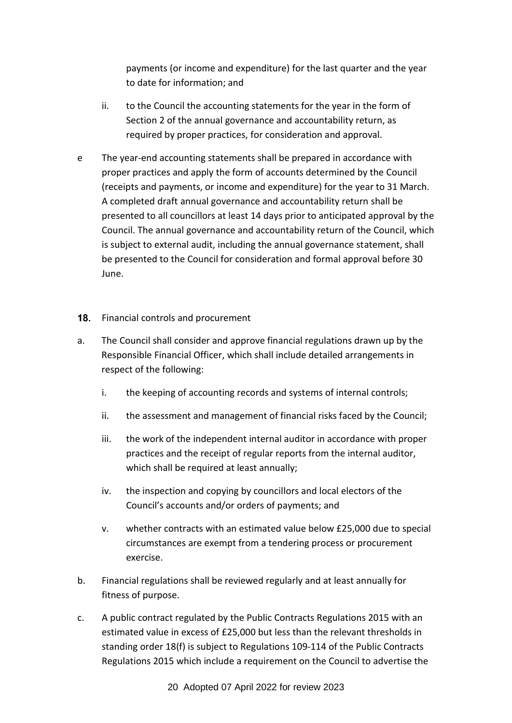payments (or income and expenditure) for the last quarter and the year to date for information; and

- ii. to the Council the accounting statements for the year in the form of Section 2 of the annual governance and accountability return, as required by proper practices, for consideration and approval.
- e The year-end accounting statements shall be prepared in accordance with proper practices and apply the form of accounts determined by the Council (receipts and payments, or income and expenditure) for the year to 31 March. A completed draft annual governance and accountability return shall be presented to all councillors at least 14 days prior to anticipated approval by the Council. The annual governance and accountability return of the Council, which is subject to external audit, including the annual governance statement, shall be presented to the Council for consideration and formal approval before 30 June.
- <span id="page-19-0"></span>18. Financial controls and procurement
- a. The Council shall consider and approve financial regulations drawn up by the Responsible Financial Officer, which shall include detailed arrangements in respect of the following:
	- i. the keeping of accounting records and systems of internal controls;
	- ii. the assessment and management of financial risks faced by the Council;
	- iii. the work of the independent internal auditor in accordance with proper practices and the receipt of regular reports from the internal auditor, which shall be required at least annually;
	- iv. the inspection and copying by councillors and local electors of the Council's accounts and/or orders of payments; and
	- v. whether contracts with an estimated value below £25,000 due to special circumstances are exempt from a tendering process or procurement exercise.
- b. Financial regulations shall be reviewed regularly and at least annually for fitness of purpose.
- c. A public contract regulated by the Public Contracts Regulations 2015 with an estimated value in excess of £25,000 but less than the relevant thresholds in standing order 18(f) is subject to Regulations 109-114 of the Public Contracts Regulations 2015 which include a requirement on the Council to advertise the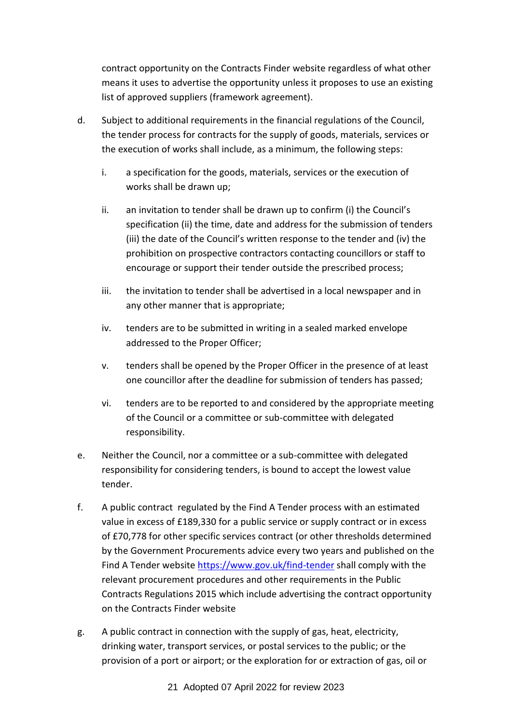contract opportunity on the Contracts Finder website regardless of what other means it uses to advertise the opportunity unless it proposes to use an existing list of approved suppliers (framework agreement).

- d. Subject to additional requirements in the financial regulations of the Council, the tender process for contracts for the supply of goods, materials, services or the execution of works shall include, as a minimum, the following steps:
	- i. a specification for the goods, materials, services or the execution of works shall be drawn up;
	- ii. an invitation to tender shall be drawn up to confirm (i) the Council's specification (ii) the time, date and address for the submission of tenders (iii) the date of the Council's written response to the tender and (iv) the prohibition on prospective contractors contacting councillors or staff to encourage or support their tender outside the prescribed process;
	- iii. the invitation to tender shall be advertised in a local newspaper and in any other manner that is appropriate;
	- iv. tenders are to be submitted in writing in a sealed marked envelope addressed to the Proper Officer;
	- v. tenders shall be opened by the Proper Officer in the presence of at least one councillor after the deadline for submission of tenders has passed;
	- vi. tenders are to be reported to and considered by the appropriate meeting of the Council or a committee or sub-committee with delegated responsibility.
- e. Neither the Council, nor a committee or a sub-committee with delegated responsibility for considering tenders, is bound to accept the lowest value tender.
- f. A public contract regulated by the Find A Tender process with an estimated value in excess of £189,330 for a public service or supply contract or in excess of £70,778 for other specific services contract (or other thresholds determined by the Government Procurements advice every two years and published on the Find A Tender website [https://www.gov.uk/find-tender](#page-19-0) shall comply with the relevant procurement procedures and other requirements in the Public Contracts Regulations 2015 which include advertising the contract opportunity on the Contracts Finder website
- g. A public contract in connection with the supply of gas, heat, electricity, drinking water, transport services, or postal services to the public; or the provision of a port or airport; or the exploration for or extraction of gas, oil or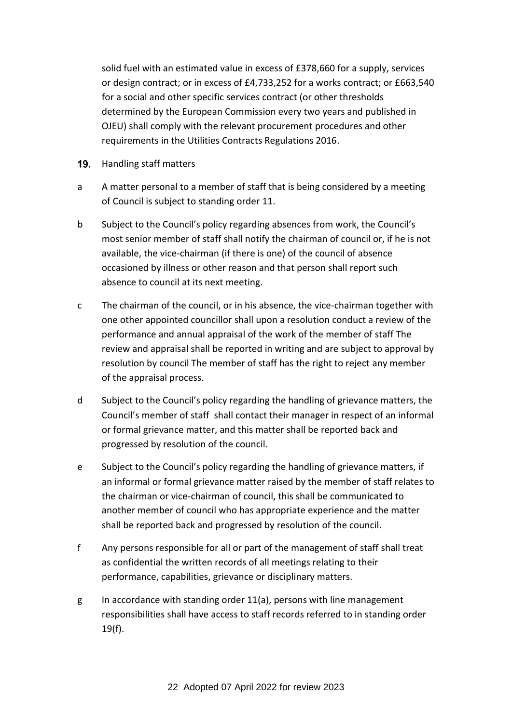solid fuel with an estimated value in excess of £378,660 for a supply, services or design contract; or in excess of £4,733,252 for a works contract; or £663,540 for a social and other specific services contract (or other thresholds determined by the European Commission every two years and published in OJEU) shall comply with the relevant procurement procedures and other requirements in the Utilities Contracts Regulations 2016.

- <span id="page-21-0"></span>19. Handling staff matters
- a A matter personal to a member of staff that is being considered by a meeting of Council is subject to standing order 11.
- b Subject to the Council's policy regarding absences from work, the Council's most senior member of staff shall notify the chairman of council or, if he is not available, the vice-chairman (if there is one) of the council of absence occasioned by illness or other reason and that person shall report such absence to council at its next meeting.
- c The chairman of the council, or in his absence, the vice-chairman together with one other appointed councillor shall upon a resolution conduct a review of the performance and annual appraisal of the work of the member of staff The review and appraisal shall be reported in writing and are subject to approval by resolution by council The member of staff has the right to reject any member of the appraisal process.
- d Subject to the Council's policy regarding the handling of grievance matters, the Council's member of staff shall contact their manager in respect of an informal or formal grievance matter, and this matter shall be reported back and progressed by resolution of the council.
- e Subject to the Council's policy regarding the handling of grievance matters, if an informal or formal grievance matter raised by the member of staff relates to the chairman or vice-chairman of council, this shall be communicated to another member of council who has appropriate experience and the matter shall be reported back and progressed by resolution of the council.
- f Any persons responsible for all or part of the management of staff shall treat as confidential the written records of all meetings relating to their performance, capabilities, grievance or disciplinary matters.
- g In accordance with standing order  $11(a)$ , persons with line management responsibilities shall have access to staff records referred to in standing order 19(f).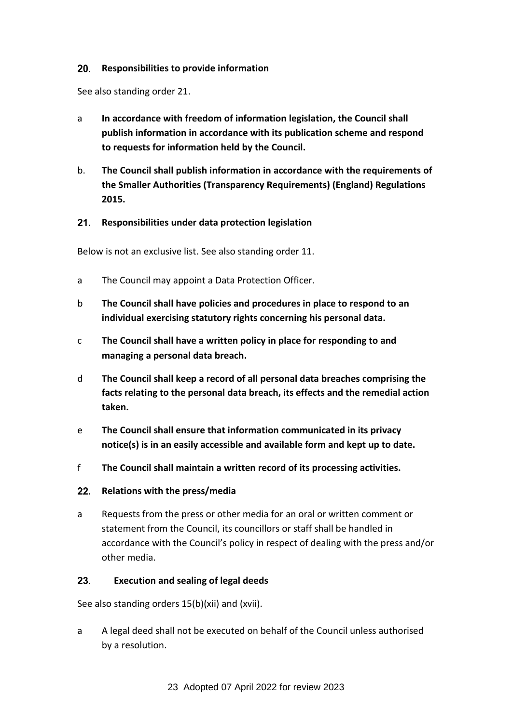#### <span id="page-22-0"></span> $20<sub>1</sub>$ **Responsibilities to provide information**

See also standing order 21.

- a **In accordance with freedom of information legislation, the Council shall publish information in accordance with its publication scheme and respond to requests for information held by the Council.**
- b. **The Council shall publish information in accordance with the requirements of the Smaller Authorities (Transparency Requirements) (England) Regulations 2015.**

### <span id="page-22-1"></span>**Responsibilities under data protection legislation**

Below is not an exclusive list. See also standing order 11.

- a The Council may appoint a Data Protection Officer.
- b **The Council shall have policies and procedures in place to respond to an individual exercising statutory rights concerning his personal data.**
- c **The Council shall have a written policy in place for responding to and managing a personal data breach.**
- d **The Council shall keep a record of all personal data breaches comprising the facts relating to the personal data breach, its effects and the remedial action taken.**
- e **The Council shall ensure that information communicated in its privacy notice(s) is in an easily accessible and available form and kept up to date.**
- f **The Council shall maintain a written record of its processing activities.**

### <span id="page-22-2"></span>**Relations with the press/media**

a Requests from the press or other media for an oral or written comment or statement from the Council, its councillors or staff shall be handled in accordance with the Council's policy in respect of dealing with the press and/or other media.

#### <span id="page-22-3"></span>23. **Execution and sealing of legal deeds**

See also standing orders 15(b)(xii) and (xvii).

a A legal deed shall not be executed on behalf of the Council unless authorised by a resolution.